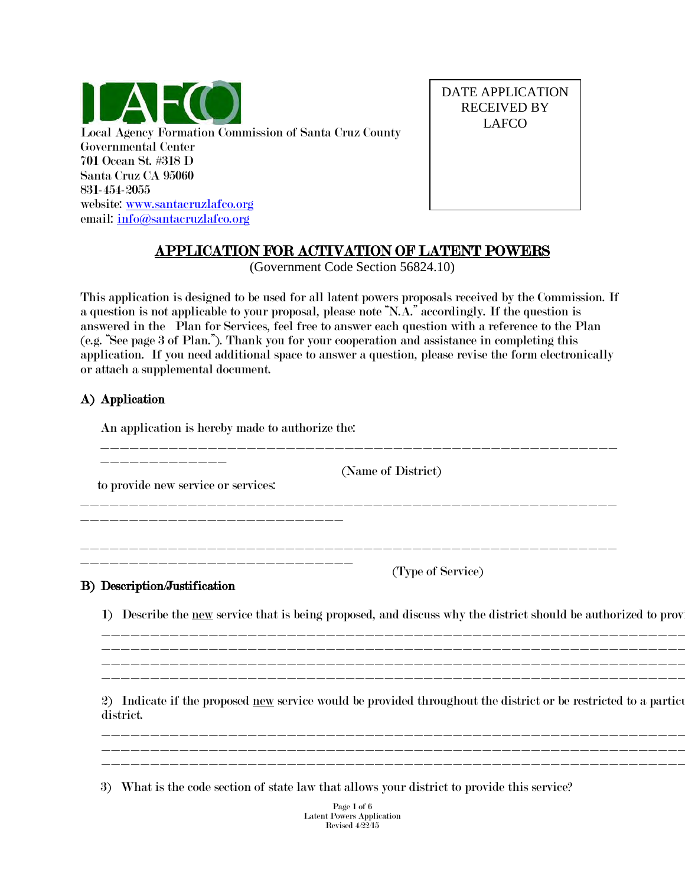

DATE APPLICATION RECEIVED BY LAFCO

# APPLICATION FOR ACTIVATION OF LATENT POWERS

(Government Code Section 56824.10)

This application is designed to be used for all latent powers proposals received by the Commission. If a question is not applicable to your proposal, please note "N.A." accordingly. If the question is answered in the Plan for Services, feel free to answer each question with a reference to the Plan (e.g. "See page 3 of Plan."). Thank you for your cooperation and assistance in completing this application. If you need additional space to answer a question, please revise the form electronically or attach a supplemental document.

## A) Application

An application is hereby made to authorize the:

\_\_\_\_\_\_\_\_\_\_\_\_\_\_\_\_\_\_\_\_\_\_\_\_\_\_\_\_\_\_\_\_\_\_\_\_\_\_\_\_\_\_\_\_\_\_\_\_\_\_\_\_\_ \_\_\_\_\_\_\_\_\_\_\_\_\_ (Name of District) to provide new service or services: \_\_\_\_\_\_\_\_\_\_\_\_\_\_\_\_\_\_\_\_\_\_\_\_\_\_\_\_\_\_\_\_\_\_\_\_\_\_\_\_\_\_\_\_\_\_\_\_\_\_\_\_\_\_\_ \_\_\_\_\_\_\_\_\_\_\_\_\_\_\_\_\_\_\_\_\_\_\_\_\_\_\_\_\_\_\_\_\_\_\_\_\_\_\_\_\_\_\_\_\_\_\_\_\_\_\_\_\_\_\_ \_\_\_\_\_\_\_\_\_\_\_\_\_\_\_\_\_\_\_\_\_\_\_\_\_\_\_\_ (Type of Service)

## B) Description/Justification

1) Describe the new service that is being proposed, and discuss why the district should be authorized to prov

\_\_\_\_\_\_\_\_\_\_\_\_\_\_\_\_\_\_\_\_\_\_\_\_\_\_\_\_\_\_\_\_\_\_\_\_\_\_\_\_\_\_\_\_\_\_\_\_\_\_\_\_\_\_\_\_\_\_\_\_ \_\_\_\_\_\_\_\_\_\_\_\_\_\_\_\_\_\_\_\_\_\_\_\_\_\_\_\_\_\_\_\_\_\_\_\_\_\_\_\_\_\_\_\_\_\_\_\_\_\_\_\_\_\_\_\_\_\_\_\_ \_\_\_\_\_\_\_\_\_\_\_\_\_\_\_\_\_\_\_\_\_\_\_\_\_\_\_\_\_\_\_\_\_\_\_\_\_\_\_\_\_\_\_\_\_\_\_\_\_\_\_\_\_\_\_\_\_\_\_\_ \_\_\_\_\_\_\_\_\_\_\_\_\_\_\_\_\_\_\_\_\_\_\_\_\_\_\_\_\_\_\_\_\_\_\_\_\_\_\_\_\_\_\_\_\_\_\_\_\_\_\_\_\_\_\_\_\_\_\_\_

2) Indicate if the proposed new service would be provided throughout the district or be restricted to a particular district.

\_\_\_\_\_\_\_\_\_\_\_\_\_\_\_\_\_\_\_\_\_\_\_\_\_\_\_\_\_\_\_\_\_\_\_\_\_\_\_\_\_\_\_\_\_\_\_\_\_\_\_\_\_\_\_\_\_\_\_\_ \_\_\_\_\_\_\_\_\_\_\_\_\_\_\_\_\_\_\_\_\_\_\_\_\_\_\_\_\_\_\_\_\_\_\_\_\_\_\_\_\_\_\_\_\_\_\_\_\_\_\_\_\_\_\_\_\_\_\_\_ \_\_\_\_\_\_\_\_\_\_\_\_\_\_\_\_\_\_\_\_\_\_\_\_\_\_\_\_\_\_\_\_\_\_\_\_\_\_\_\_\_\_\_\_\_\_\_\_\_\_\_\_\_\_\_\_\_\_\_\_

3) What is the code section of state law that allows your district to provide this service?

Page 1 of 6 Latent Powers Application Revised  $4\overline{22/15}$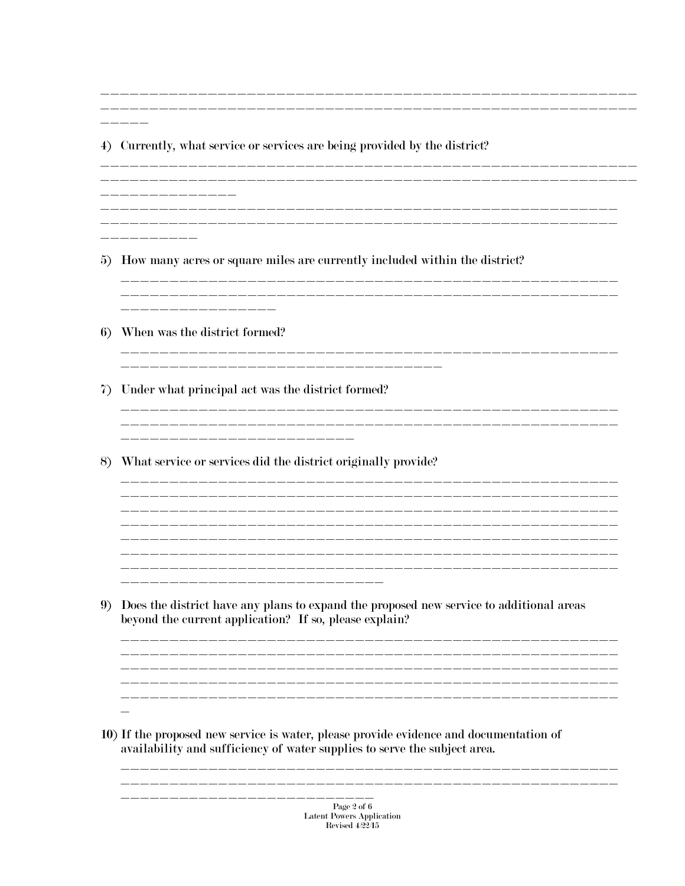\_\_\_\_\_ 4) Currently, what service or services are being provided by the district? \_ \_\_ \_\_ \_\_ \_\_ \_\_ \_\_ \_\_ \_\_ 5) How many acres or square miles are currently included within the district? \_\_\_\_\_\_\_\_\_\_\_\_\_\_\_\_ 6) When was the district formed? \_\_\_\_\_\_\_\_\_\_\_\_\_\_\_ 7) Under what principal act was the district formed? \_\_\_\_\_\_\_\_\_\_\_\_\_\_\_\_\_\_\_\_\_\_\_\_\_\_\_ \_\_\_\_\_\_\_\_\_\_\_\_\_\_\_\_\_\_\_\_\_\_\_\_\_\_\_\_\_\_\_\_\_\_ 8) What service or services did the district originally provide? \_\_\_\_\_\_\_\_\_\_\_\_\_\_\_\_\_\_\_ 9) Does the district have any plans to expand the proposed new service to additional areas beyond the current application? If so, please explain?  $\overline{\phantom{0}}$ 10) If the proposed new service is water, please provide evidence and documentation of availability and sufficiency of water supplies to serve the subject area. \_\_\_\_\_\_\_\_\_\_ \_\_\_\_\_\_\_\_\_\_\_\_\_\_\_\_

Page 2 of 6  ${\bf Latent~Powers~Application}$ Revised  $4\overline{22}/15$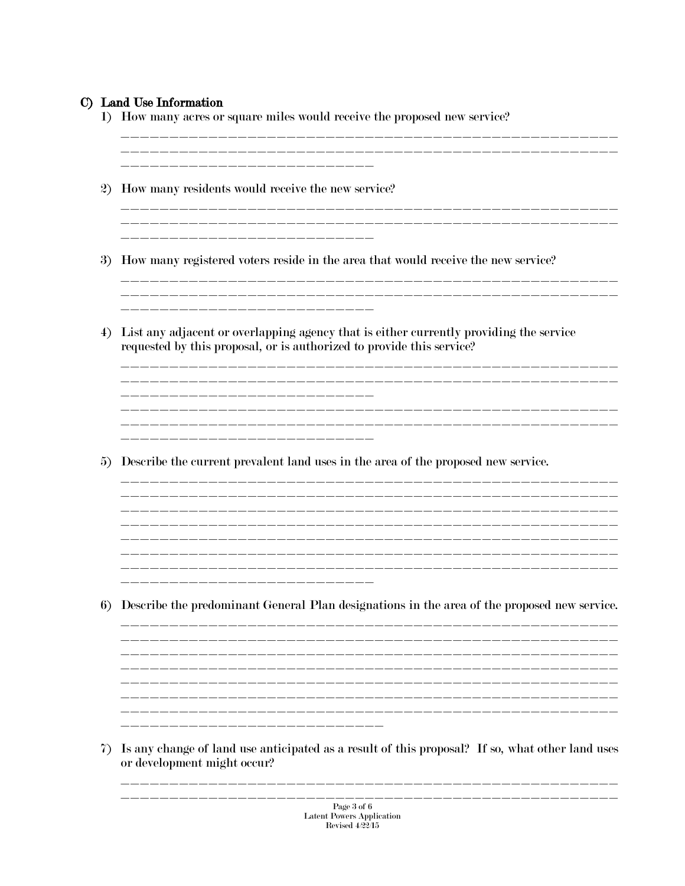### C) Land Use Information

1) How many acres or square miles would receive the proposed new service?

\_\_\_\_\_\_\_\_\_\_\_\_\_\_ 2) How many residents would receive the new service? 3) How many registered voters reside in the area that would receive the new service? \_\_\_\_\_\_\_\_\_\_\_\_\_\_\_\_\_\_\_\_\_\_\_\_\_\_\_\_\_\_\_ 4) List any adjacent or overlapping agency that is either currently providing the service requested by this proposal, or is authorized to provide this service? 5) Describe the current prevalent land uses in the area of the proposed new service. 6) Describe the predominant General Plan designations in the area of the proposed new service. 7) Is any change of land use anticipated as a result of this proposal? If so, what other land uses or development might occur?

\_\_\_\_\_\_\_\_\_\_\_\_\_\_\_\_\_\_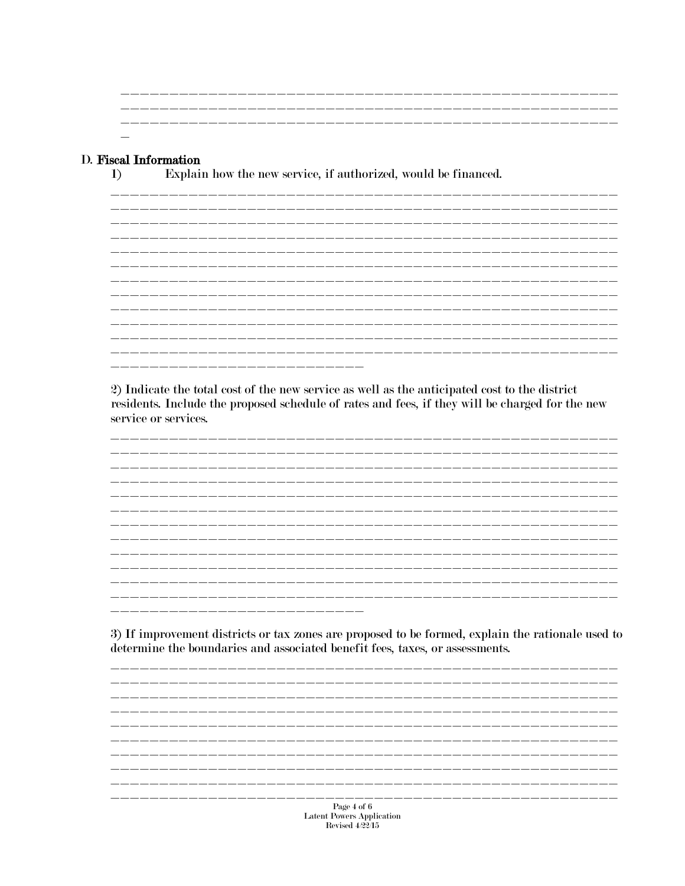### D. Fiscal Information

 $\bf{1}$ 

Explain how the new service, if authorized, would be financed.

2) Indicate the total cost of the new service as well as the anticipated cost to the district residents. Include the proposed schedule of rates and fees, if they will be charged for the new service or services.

\_\_\_\_\_\_\_\_\_\_\_\_\_\_\_\_\_\_\_

3) If improvement districts or tax zones are proposed to be formed, explain the rationale used to determine the boundaries and associated benefit fees, taxes, or assessments.

Page 4 of 6 Latent Powers Application<br>Revised 4/22/15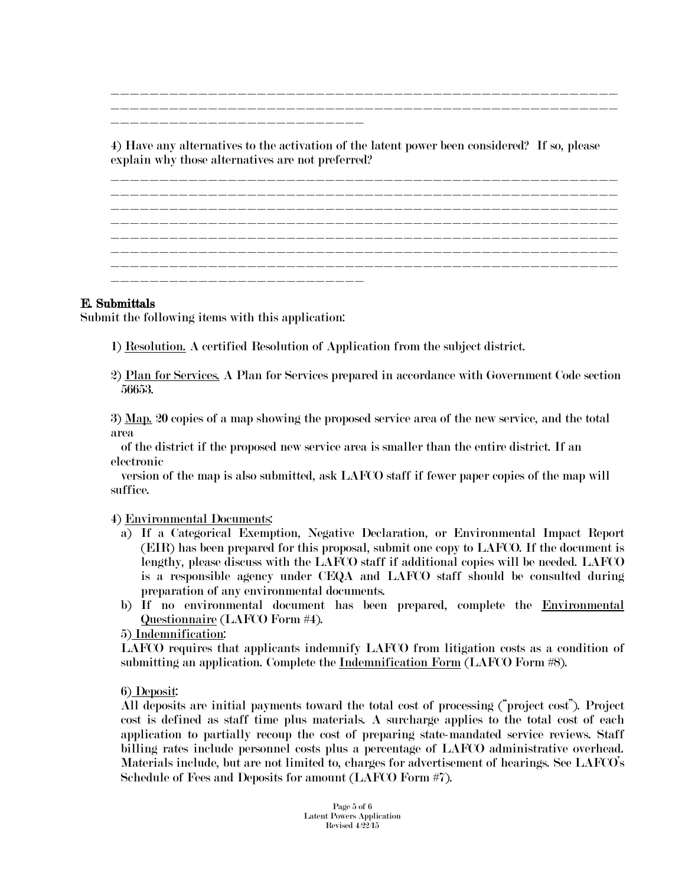\_\_\_\_\_\_\_\_\_\_\_\_\_\_\_\_\_\_\_\_\_\_\_\_\_\_\_\_\_\_\_\_\_\_\_\_\_\_\_\_\_\_\_\_\_\_\_\_\_\_\_\_ \_\_\_\_\_\_\_\_\_\_\_\_\_\_\_\_\_\_\_\_\_\_\_\_\_\_\_\_\_\_\_\_\_\_\_\_\_\_\_\_\_\_\_\_\_\_\_\_\_\_\_\_ \_\_\_\_\_\_\_\_\_\_\_\_\_\_\_\_\_\_\_\_\_\_\_\_\_\_

4) Have any alternatives to the activation of the latent power been considered? If so, please explain why those alternatives are not preferred?

\_\_\_\_\_\_\_\_\_\_\_\_\_\_\_\_\_\_\_\_\_\_\_\_\_\_\_\_\_\_\_\_\_\_\_\_\_\_\_\_\_\_\_\_\_\_\_\_\_\_\_\_ \_\_\_\_\_\_\_\_\_\_\_\_\_\_\_\_\_\_\_\_\_\_\_\_\_\_\_\_\_\_\_\_\_\_\_\_\_\_\_\_\_\_\_\_\_\_\_\_\_\_\_\_ \_\_\_\_\_\_\_\_\_\_\_\_\_\_\_\_\_\_\_\_\_\_\_\_\_\_\_\_\_\_\_\_\_\_\_\_\_\_\_\_\_\_\_\_\_\_\_\_\_\_\_\_ \_\_\_\_\_\_\_\_\_\_\_\_\_\_\_\_\_\_\_\_\_\_\_\_\_\_\_\_\_\_\_\_\_\_\_\_\_\_\_\_\_\_\_\_\_\_\_\_\_\_\_\_ \_\_\_\_\_\_\_\_\_\_\_\_\_\_\_\_\_\_\_\_\_\_\_\_\_\_\_\_\_\_\_\_\_\_\_\_\_\_\_\_\_\_\_\_\_\_\_\_\_\_\_\_ \_\_\_\_\_\_\_\_\_\_\_\_\_\_\_\_\_\_\_\_\_\_\_\_\_\_\_\_\_\_\_\_\_\_\_\_\_\_\_\_\_\_\_\_\_\_\_\_\_\_\_\_ \_\_\_\_\_\_\_\_\_\_\_\_\_\_\_\_\_\_\_\_\_\_\_\_\_\_\_\_\_\_\_\_\_\_\_\_\_\_\_\_\_\_\_\_\_\_\_\_\_\_\_\_ \_\_\_\_\_\_\_\_\_\_\_\_\_\_\_\_\_\_\_\_\_\_\_\_\_\_

### E. Submittals

Submit the following items with this application:

- 1) Resolution. A certified Resolution of Application from the subject district.
- 2) Plan for Services. A Plan for Services prepared in accordance with Government Code section 56653.

3) Map. 20 copies of a map showing the proposed service area of the new service, and the total area

 of the district if the proposed new service area is smaller than the entire district. If an electronic

 version of the map is also submitted, ask LAFCO staff if fewer paper copies of the map will suffice.

#### 4) Environmental Documents:

- a) If a Categorical Exemption, Negative Declaration, or Environmental Impact Report (EIR) has been prepared for this proposal, submit one copy to LAFCO. If the document is lengthy, please discuss with the LAFCO staff if additional copies will be needed. LAFCO is a responsible agency under CEQA and LAFCO staff should be consulted during preparation of any environmental documents.
- b) If no environmental document has been prepared, complete the [Environmental](http://www.santacruzlafco.org/pages/forms.html)  [Questionnaire](http://www.santacruzlafco.org/pages/forms.html) (LAFCO Form #4).

5) Indemnification:

LAFCO requires that applicants indemnify LAFCO from litigation costs as a condition of submitting an application. Complete the Indemnification Form (LAFCO Form #8).

6) Deposit:

All deposits are initial payments toward the total cost of processing ("project cost"). Project cost is defined as staff time plus materials. A surcharge applies to the total cost of each application to partially recoup the cost of preparing state-mandated service reviews. Staff billing rates include personnel costs plus a percentage of LAFCO administrative overhead. Materials include, but are not limited to, charges for advertisement of hearings. See LAFCO's Schedule of Fees and Deposits for amount (LAFCO Form #7).